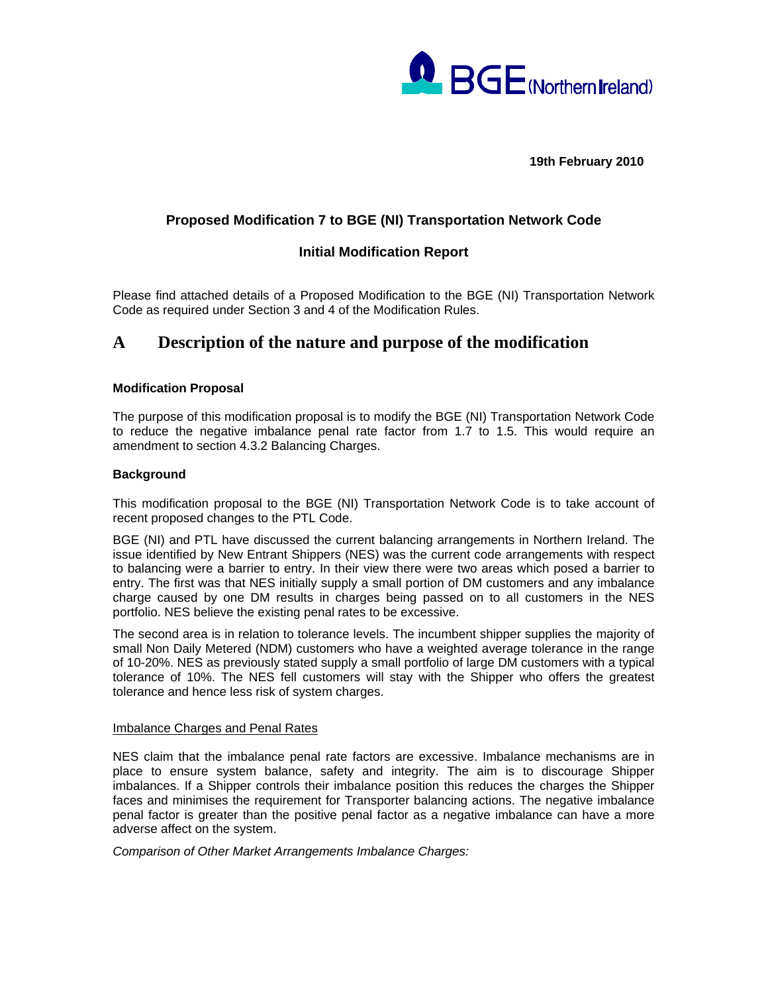

**19th February 2010** 

# **Proposed Modification 7 to BGE (NI) Transportation Network Code**

## **Initial Modification Report**

Please find attached details of a Proposed Modification to the BGE (NI) Transportation Network Code as required under Section 3 and 4 of the Modification Rules.

# **A Description of the nature and purpose of the modification**

### **Modification Proposal**

The purpose of this modification proposal is to modify the BGE (NI) Transportation Network Code to reduce the negative imbalance penal rate factor from 1.7 to 1.5. This would require an amendment to section 4.3.2 Balancing Charges.

### **Background**

This modification proposal to the BGE (NI) Transportation Network Code is to take account of recent proposed changes to the PTL Code.

BGE (NI) and PTL have discussed the current balancing arrangements in Northern Ireland. The issue identified by New Entrant Shippers (NES) was the current code arrangements with respect to balancing were a barrier to entry. In their view there were two areas which posed a barrier to entry. The first was that NES initially supply a small portion of DM customers and any imbalance charge caused by one DM results in charges being passed on to all customers in the NES portfolio. NES believe the existing penal rates to be excessive.

The second area is in relation to tolerance levels. The incumbent shipper supplies the majority of small Non Daily Metered (NDM) customers who have a weighted average tolerance in the range of 10-20%. NES as previously stated supply a small portfolio of large DM customers with a typical tolerance of 10%. The NES fell customers will stay with the Shipper who offers the greatest tolerance and hence less risk of system charges.

### Imbalance Charges and Penal Rates

NES claim that the imbalance penal rate factors are excessive. Imbalance mechanisms are in place to ensure system balance, safety and integrity. The aim is to discourage Shipper imbalances. If a Shipper controls their imbalance position this reduces the charges the Shipper faces and minimises the requirement for Transporter balancing actions. The negative imbalance penal factor is greater than the positive penal factor as a negative imbalance can have a more adverse affect on the system.

*Comparison of Other Market Arrangements Imbalance Charges:*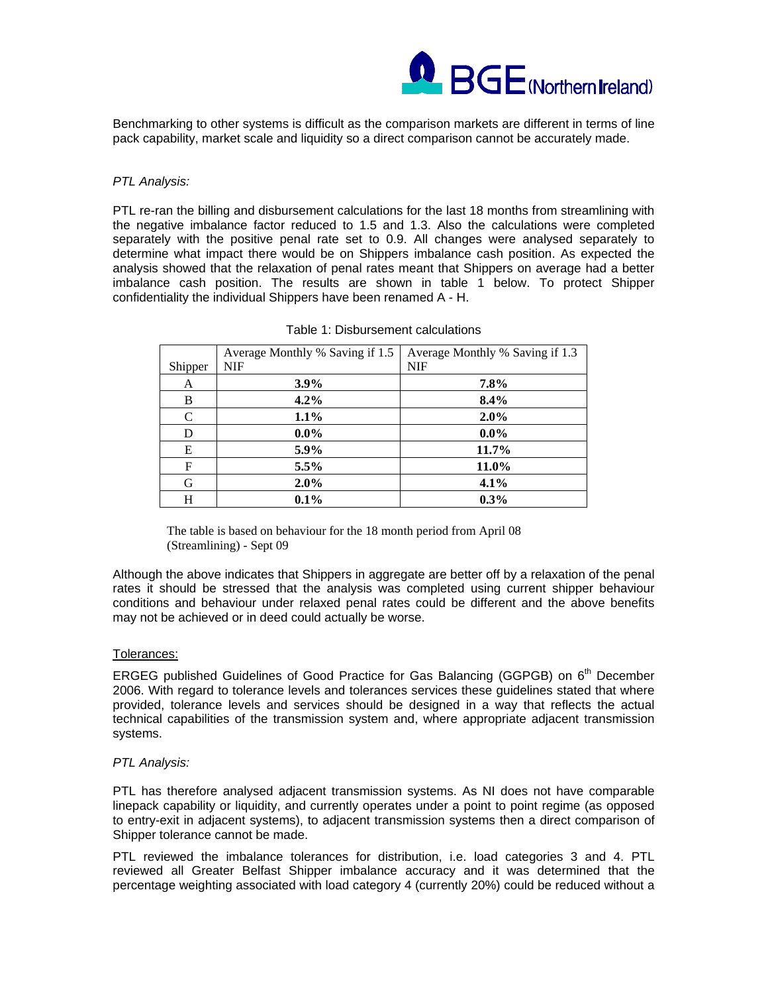

Benchmarking to other systems is difficult as the comparison markets are different in terms of line pack capability, market scale and liquidity so a direct comparison cannot be accurately made.

### *PTL Analysis:*

PTL re-ran the billing and disbursement calculations for the last 18 months from streamlining with the negative imbalance factor reduced to 1.5 and 1.3. Also the calculations were completed separately with the positive penal rate set to 0.9. All changes were analysed separately to determine what impact there would be on Shippers imbalance cash position. As expected the analysis showed that the relaxation of penal rates meant that Shippers on average had a better imbalance cash position. The results are shown in table 1 below. To protect Shipper confidentiality the individual Shippers have been renamed A - H.

|         | Average Monthly % Saving if 1.5 | Average Monthly % Saving if 1.3 |
|---------|---------------------------------|---------------------------------|
| Shipper | <b>NIF</b>                      | <b>NIF</b>                      |
| A       | $3.9\%$                         | 7.8%                            |
| B       | 4.2%                            | 8.4%                            |
| C       | 1.1%                            | 2.0%                            |
| D       | $0.0\%$                         | $0.0\%$                         |
| Е       | 5.9%                            | 11.7%                           |
| F       | 5.5%                            | 11.0%                           |
| G       | 2.0%                            | 4.1%                            |
| H       | $0.1\%$                         | 0.3%                            |

| Table 1: Disbursement calculations |  |
|------------------------------------|--|
|------------------------------------|--|

The table is based on behaviour for the 18 month period from April 08 (Streamlining) - Sept 09

Although the above indicates that Shippers in aggregate are better off by a relaxation of the penal rates it should be stressed that the analysis was completed using current shipper behaviour conditions and behaviour under relaxed penal rates could be different and the above benefits may not be achieved or in deed could actually be worse.

#### Tolerances:

ERGEG published Guidelines of Good Practice for Gas Balancing (GGPGB) on 6<sup>th</sup> December 2006. With regard to tolerance levels and tolerances services these guidelines stated that where provided, tolerance levels and services should be designed in a way that reflects the actual technical capabilities of the transmission system and, where appropriate adjacent transmission systems.

#### *PTL Analysis:*

PTL has therefore analysed adjacent transmission systems. As NI does not have comparable linepack capability or liquidity, and currently operates under a point to point regime (as opposed to entry-exit in adjacent systems), to adjacent transmission systems then a direct comparison of Shipper tolerance cannot be made.

PTL reviewed the imbalance tolerances for distribution, i.e. load categories 3 and 4. PTL reviewed all Greater Belfast Shipper imbalance accuracy and it was determined that the percentage weighting associated with load category 4 (currently 20%) could be reduced without a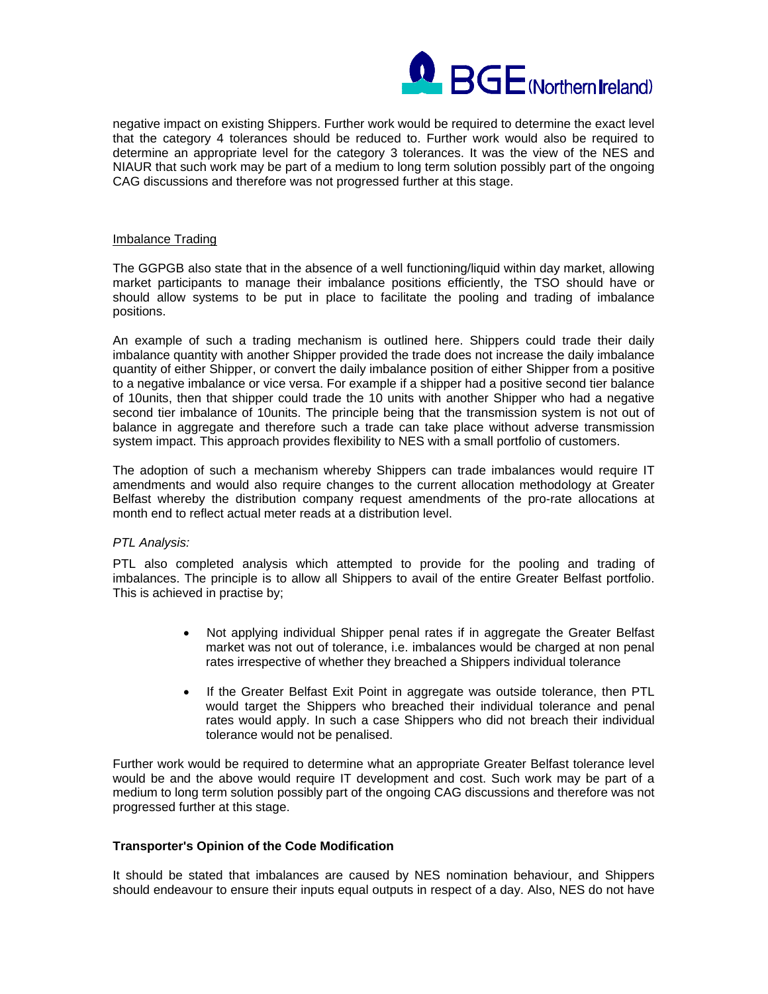

negative impact on existing Shippers. Further work would be required to determine the exact level that the category 4 tolerances should be reduced to. Further work would also be required to determine an appropriate level for the category 3 tolerances. It was the view of the NES and NIAUR that such work may be part of a medium to long term solution possibly part of the ongoing CAG discussions and therefore was not progressed further at this stage.

#### Imbalance Trading

The GGPGB also state that in the absence of a well functioning/liquid within day market, allowing market participants to manage their imbalance positions efficiently, the TSO should have or should allow systems to be put in place to facilitate the pooling and trading of imbalance positions.

An example of such a trading mechanism is outlined here. Shippers could trade their daily imbalance quantity with another Shipper provided the trade does not increase the daily imbalance quantity of either Shipper, or convert the daily imbalance position of either Shipper from a positive to a negative imbalance or vice versa. For example if a shipper had a positive second tier balance of 10units, then that shipper could trade the 10 units with another Shipper who had a negative second tier imbalance of 10units. The principle being that the transmission system is not out of balance in aggregate and therefore such a trade can take place without adverse transmission system impact. This approach provides flexibility to NES with a small portfolio of customers.

The adoption of such a mechanism whereby Shippers can trade imbalances would require IT amendments and would also require changes to the current allocation methodology at Greater Belfast whereby the distribution company request amendments of the pro-rate allocations at month end to reflect actual meter reads at a distribution level.

### *PTL Analysis:*

PTL also completed analysis which attempted to provide for the pooling and trading of imbalances. The principle is to allow all Shippers to avail of the entire Greater Belfast portfolio. This is achieved in practise by;

- Not applying individual Shipper penal rates if in aggregate the Greater Belfast market was not out of tolerance, i.e. imbalances would be charged at non penal rates irrespective of whether they breached a Shippers individual tolerance
- If the Greater Belfast Exit Point in aggregate was outside tolerance, then PTL would target the Shippers who breached their individual tolerance and penal rates would apply. In such a case Shippers who did not breach their individual tolerance would not be penalised.

Further work would be required to determine what an appropriate Greater Belfast tolerance level would be and the above would require IT development and cost. Such work may be part of a medium to long term solution possibly part of the ongoing CAG discussions and therefore was not progressed further at this stage.

### **Transporter's Opinion of the Code Modification**

It should be stated that imbalances are caused by NES nomination behaviour, and Shippers should endeavour to ensure their inputs equal outputs in respect of a day. Also, NES do not have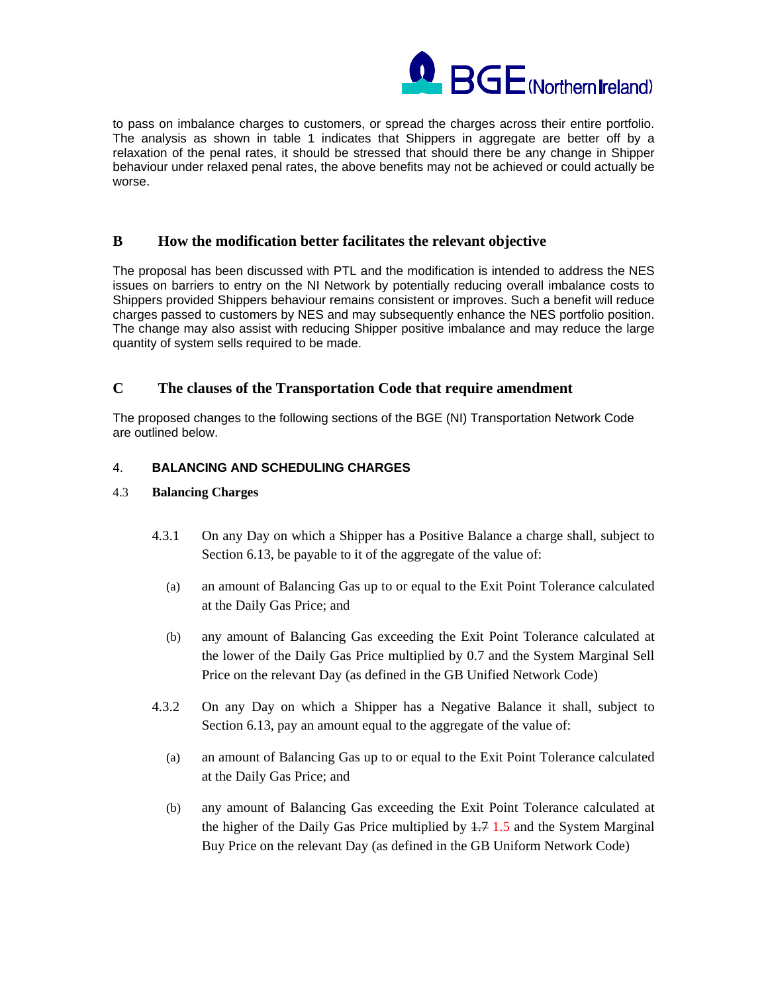

to pass on imbalance charges to customers, or spread the charges across their entire portfolio. The analysis as shown in table 1 indicates that Shippers in aggregate are better off by a relaxation of the penal rates, it should be stressed that should there be any change in Shipper behaviour under relaxed penal rates, the above benefits may not be achieved or could actually be worse.

## **B How the modification better facilitates the relevant objective**

The proposal has been discussed with PTL and the modification is intended to address the NES issues on barriers to entry on the NI Network by potentially reducing overall imbalance costs to Shippers provided Shippers behaviour remains consistent or improves. Such a benefit will reduce charges passed to customers by NES and may subsequently enhance the NES portfolio position. The change may also assist with reducing Shipper positive imbalance and may reduce the large quantity of system sells required to be made.

## **C The clauses of the Transportation Code that require amendment**

The proposed changes to the following sections of the BGE (NI) Transportation Network Code are outlined below.

### 4. **BALANCING AND SCHEDULING CHARGES**

### 4.3 **Balancing Charges**

- 4.3.1 On any Day on which a Shipper has a Positive Balance a charge shall, subject to Section 6.13, be payable to it of the aggregate of the value of:
	- (a) an amount of Balancing Gas up to or equal to the Exit Point Tolerance calculated at the Daily Gas Price; and
	- (b) any amount of Balancing Gas exceeding the Exit Point Tolerance calculated at the lower of the Daily Gas Price multiplied by 0.7 and the System Marginal Sell Price on the relevant Day (as defined in the GB Unified Network Code)
- 4.3.2 On any Day on which a Shipper has a Negative Balance it shall, subject to Section 6.13, pay an amount equal to the aggregate of the value of:
	- (a) an amount of Balancing Gas up to or equal to the Exit Point Tolerance calculated at the Daily Gas Price; and
	- (b) any amount of Balancing Gas exceeding the Exit Point Tolerance calculated at the higher of the Daily Gas Price multiplied by 1.7 1.5 and the System Marginal Buy Price on the relevant Day (as defined in the GB Uniform Network Code)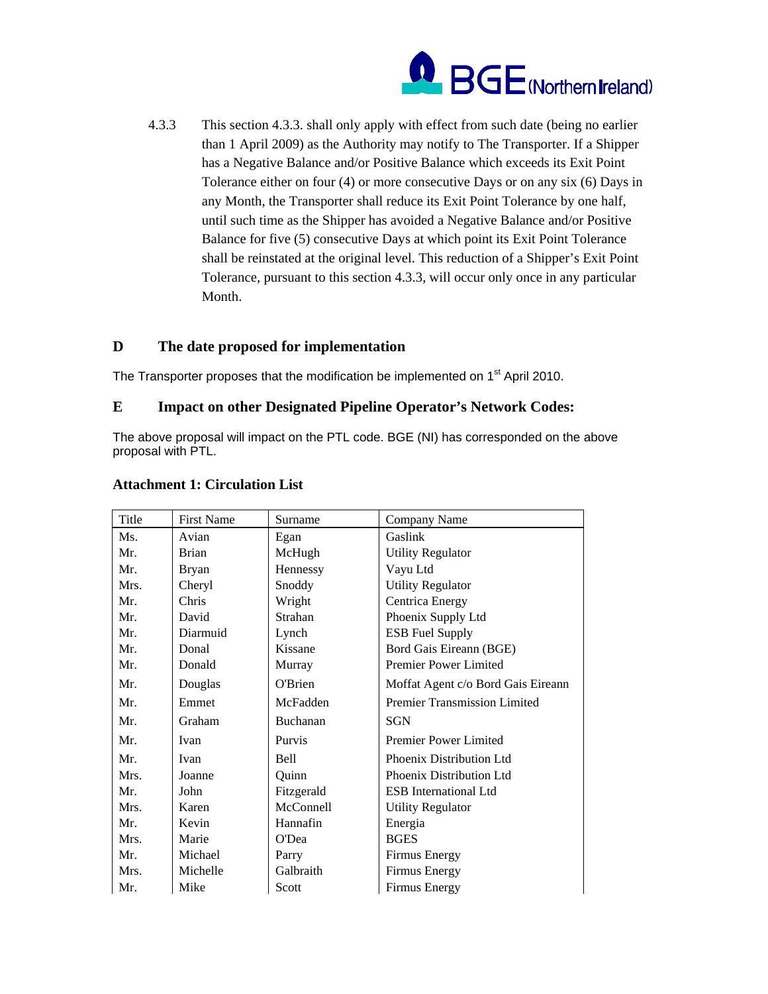

4.3.3 This section 4.3.3. shall only apply with effect from such date (being no earlier than 1 April 2009) as the Authority may notify to The Transporter. If a Shipper has a Negative Balance and/or Positive Balance which exceeds its Exit Point Tolerance either on four (4) or more consecutive Days or on any six (6) Days in any Month, the Transporter shall reduce its Exit Point Tolerance by one half, until such time as the Shipper has avoided a Negative Balance and/or Positive Balance for five (5) consecutive Days at which point its Exit Point Tolerance shall be reinstated at the original level. This reduction of a Shipper's Exit Point Tolerance, pursuant to this section 4.3.3, will occur only once in any particular Month.

# **D The date proposed for implementation**

The Transporter proposes that the modification be implemented on  $1<sup>st</sup>$  April 2010.

## **E Impact on other Designated Pipeline Operator's Network Codes:**

The above proposal will impact on the PTL code. BGE (NI) has corresponded on the above proposal with PTL.

| Title | <b>First Name</b> | Surname     | Company Name                        |
|-------|-------------------|-------------|-------------------------------------|
| Ms.   | Avian             | Egan        | Gaslink                             |
| Mr.   | <b>Brian</b>      | McHugh      | <b>Utility Regulator</b>            |
| Mr.   | Bryan             | Hennessy    | Vayu Ltd                            |
| Mrs.  | Cheryl            | Snoddy      | <b>Utility Regulator</b>            |
| Mr.   | Chris             | Wright      | Centrica Energy                     |
| Mr.   | David             | Strahan     | Phoenix Supply Ltd                  |
| Mr.   | Diarmuid          | Lynch       | <b>ESB Fuel Supply</b>              |
| Mr.   | Donal             | Kissane     | Bord Gais Eireann (BGE)             |
| Mr.   | Donald            | Murray      | Premier Power Limited               |
| Mr.   | Douglas           | O'Brien     | Moffat Agent c/o Bord Gais Eireann  |
| Mr.   | Emmet             | McFadden    | <b>Premier Transmission Limited</b> |
| Mr.   | Graham            | Buchanan    | <b>SGN</b>                          |
| Mr.   | Ivan              | Purvis      | Premier Power Limited               |
| Mr.   | Ivan              | <b>Bell</b> | Phoenix Distribution Ltd            |
| Mrs.  | Joanne            | Quinn       | Phoenix Distribution Ltd            |
| Mr.   | John              | Fitzgerald  | <b>ESB</b> International Ltd        |
| Mrs.  | Karen             | McConnell   | <b>Utility Regulator</b>            |
| Mr.   | Kevin             | Hannafin    | Energia                             |
| Mrs.  | Marie             | O'Dea       | <b>BGES</b>                         |
| Mr.   | Michael           | Parry       | Firmus Energy                       |
| Mrs.  | Michelle          | Galbraith   | Firmus Energy                       |
| Mr.   | Mike              | Scott       | Firmus Energy                       |

## **Attachment 1: Circulation List**